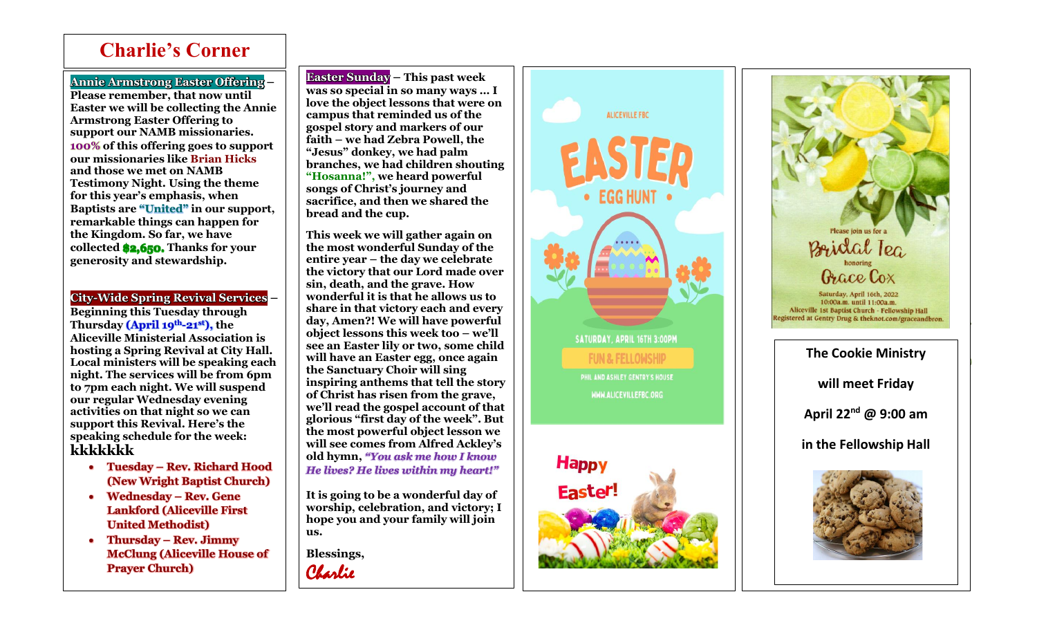## **Charlie's Corner**

## **Annie Armstrong Easter Offering –**

Ī

**Please remember, that now until Easter we will be collecting the Annie Armstrong Easter Offering to support our NAMB missionaries. 100% of this offering goes to support our missionaries like Brian Hicks and those we met on NAMB Testimony Night. Using the theme for this year's emphasis, when Baptists are "United" in our support, remarkable things can happen for the Kingdom. So far, we have collected \$2,650. Thanks for your generosity and stewardship.**

## **City -Wide Spring Revival Services –**

**Beginning this Tuesday through Thursday (April 19th -21st), the Aliceville Ministerial Association is hosting a Spring Revival at City Hall. Local ministers will be speaking each night. The services will be from 6pm to 7pm each night. We will suspend our regular Wednesday evening activities on that night so we can support this Revival. Here's the speaking schedule for the week: kkkkkkk**

- **Tuesday – Rev. Richard Hood (New Wright Baptist Church)**
- **Wednesday – Rev. Gene Lankford (Aliceville First United Methodist)**
- **Thursday – Rev. Jimmy McClung (Aliceville House of Prayer Church)**

**Easter Sunday – This past week was so special in so many ways … I love the object lessons that were on campus that reminded us of the gospel story and markers of our faith – we had Zebra Powell, the "Jesus" donkey, we had palm branches, we had children shouting "Hosanna!", we heard powerful songs of Christ's journey and sacrifice, and then we shared the bread and the cup.**

**This week we will gather again on the most wonderful Sunday of the entire year – the day we celebrate the victory that our Lord made over sin, death, and the grave. How wonderful it is that he allows us to share in that victory each and every day, Amen?! We will have powerful object lessons this week too – we'll see an Easter lily or two, some child will have an Easter egg, once again the Sanctuary Choir will sing inspiring anthems that tell the story of Christ has risen from the grave, we'll read the gospel account of that glorious "first day of the week". But the most powerful object lesson we will see comes from Alfred Ackley's old hymn,** *"You ask me how I know He lives? He lives within my heart!"*

**It is going to be a wonderful day of worship, celebration, and victory; I hope you and your family will join us.** 

**Blessings,**